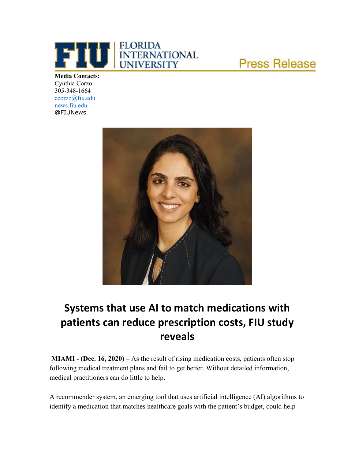

## **Press Release**

**Media Contacts:** Cynthia Corzo 305-348-1664 [ccorzo@fiu.edu](mailto:ccorzo@fiu.edu) news.fiu.edu @FIUNews



## **Systems that use AI to match medications with patients can reduce prescription costs, FIU study reveals**

**MIAMI - (Dec. 16, 2020) –** As the result of rising medication costs, patients often stop following medical treatment plans and fail to get better. Without detailed information, medical practitioners can do little to help.

A recommender system, an emerging tool that uses artificial intelligence (AI) algorithms to identify a medication that matches healthcare goals with the patient's budget, could help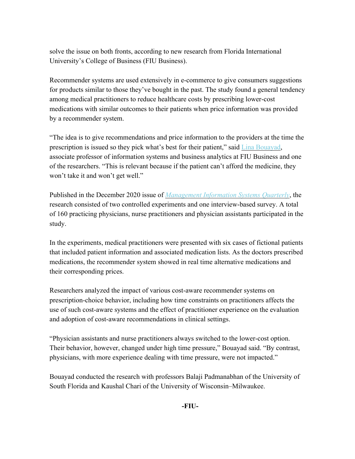solve the issue on both fronts, according to new research from Florida International University's College of Business (FIU Business).

Recommender systems are used extensively in e-commerce to give consumers suggestions for products similar to those they've bought in the past. The study found a general tendency among medical practitioners to reduce healthcare costs by prescribing lower-cost medications with similar outcomes to their patients when price information was provided by a recommender system.

"The idea is to give recommendations and price information to the providers at the time the prescription is issued so they pick what's best for their patient," said Lina [Bouayad,](https://business.fiu.edu/faculty/expert-guides.cfm?FlagDirectory=Display&Emp=bouayadl) associate professor of information systems and business analytics at FIU Business and one of the researchers. "This is relevant because if the patient can't afford the medicine, they won't take it and won't get well."

Published in the December 2020 issue of *[Management](https://urldefense.proofpoint.com/v2/url?u=https-3A__misq.org_skin_frontend_default_misq_pdf_V44I4_14435-5FRA-5FBouayadPadmanabhanAbstract.pdf&d=DwMFaQ&c=lhMMI368wojMYNABHh1gQQ&r=gWPkNiVga8j9UBYsz54fvQ&m=eDOTZFdSmeZu8Kc3ssvRSye2eTC3KaxXJMEjZc7UMws&s=BbIEBc26AnTsoYMr24sy7NbAyV1fMZrEkw01Lj3QVfk&e=) Information Systems Quarterly*, the research consisted of two controlled experiments and one interview-based survey. A total of 160 practicing physicians, nurse practitioners and physician assistants participated in the study.

In the experiments, medical practitioners were presented with six cases of fictional patients that included patient information and associated medication lists. As the doctors prescribed medications, the recommender system showed in real time alternative medications and their corresponding prices.

Researchers analyzed the impact of various cost-aware recommender systems on prescription-choice behavior, including how time constraints on practitioners affects the use of such cost-aware systems and the effect of practitioner experience on the evaluation and adoption of cost-aware recommendations in clinical settings.

"Physician assistants and nurse practitioners always switched to the lower-cost option. Their behavior, however, changed under high time pressure," Bouayad said. "By contrast, physicians, with more experience dealing with time pressure, were not impacted."

Bouayad conducted the research with professors Balaji Padmanabhan of the University of South Florida and Kaushal Chari of the University of Wisconsin–Milwaukee.

**-FIU-**